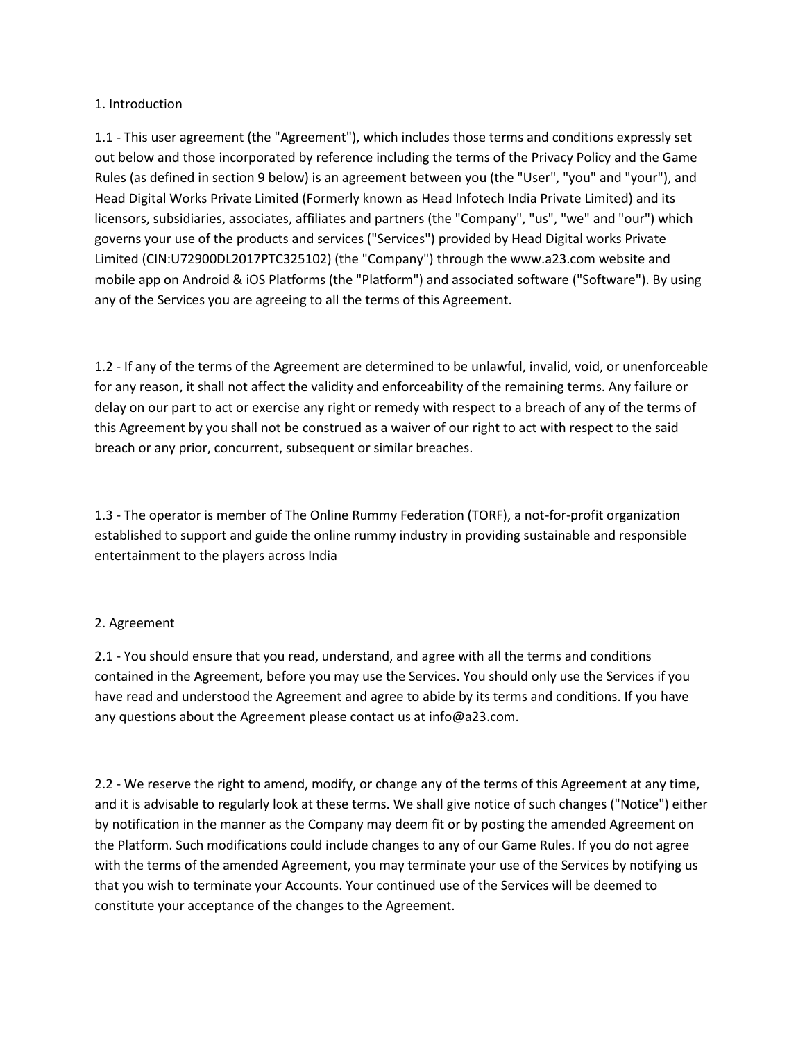### 1. Introduction

1.1 - This user agreement (the "Agreement"), which includes those terms and conditions expressly set out below and those incorporated by reference including the terms of the Privacy Policy and the Game Rules (as defined in section 9 below) is an agreement between you (the "User", "you" and "your"), and Head Digital Works Private Limited (Formerly known as Head Infotech India Private Limited) and its licensors, subsidiaries, associates, affiliates and partners (the "Company", "us", "we" and "our") which governs your use of the products and services ("Services") provided by Head Digital works Private Limited (CIN:U72900DL2017PTC325102) (the "Company") through the<www.a23.com> website and mobile app on Android & iOS Platforms (the "Platform") and associated software ("Software"). By using any of the Services you are agreeing to all the terms of this Agreement.

1.2 - If any of the terms of the Agreement are determined to be unlawful, invalid, void, or unenforceable for any reason, it shall not affect the validity and enforceability of the remaining terms. Any failure or delay on our part to act or exercise any right or remedy with respect to a breach of any of the terms of this Agreement by you shall not be construed as a waiver of our right to act with respect to the said breach or any prior, concurrent, subsequent or similar breaches.

1.3 - The operator is member of The Online Rummy Federation (TORF), a not-for-profit organization established to support and guide the online rummy industry in providing sustainable and responsible entertainment to the players across India

## 2. Agreement

2.1 - You should ensure that you read, understand, and agree with all the terms and conditions contained in the Agreement, before you may use the Services. You should only use the Services if you have read and understood the Agreement and agree to abide by its terms and conditions. If you have any questions about the Agreement please contact us at info@a23.com.

2.2 - We reserve the right to amend, modify, or change any of the terms of this Agreement at any time, and it is advisable to regularly look at these terms. We shall give notice of such changes ("Notice") either by notification in the manner as the Company may deem fit or by posting the amended Agreement on the Platform. Such modifications could include changes to any of our Game Rules. If you do not agree with the terms of the amended Agreement, you may terminate your use of the Services by notifying us that you wish to terminate your Accounts. Your continued use of the Services will be deemed to constitute your acceptance of the changes to the Agreement.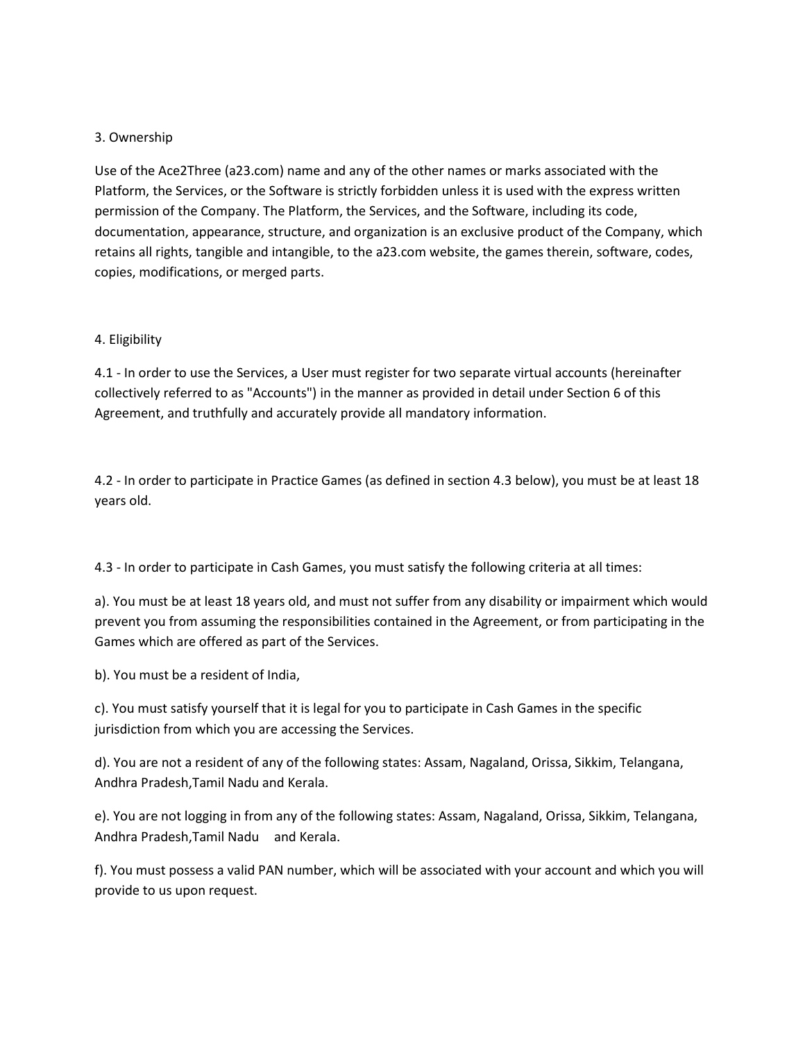## 3. Ownership

Use of the Ace2Three (a23.com) name and any of the other names or marks associated with the Platform, the Services, or the Software is strictly forbidden unless it is used with the express written permission of the Company. The Platform, the Services, and the Software, including its code, documentation, appearance, structure, and organization is an exclusive product of the Company, which retains all rights, tangible and intangible, to the a23.com website, the games therein, software, codes, copies, modifications, or merged parts.

## 4. Eligibility

4.1 - In order to use the Services, a User must register for two separate virtual accounts (hereinafter collectively referred to as "Accounts") in the manner as provided in detail under Section 6 of this Agreement, and truthfully and accurately provide all mandatory information.

4.2 - In order to participate in Practice Games (as defined in section 4.3 below), you must be at least 18 years old.

4.3 - In order to participate in Cash Games, you must satisfy the following criteria at all times:

a). You must be at least 18 years old, and must not suffer from any disability or impairment which would prevent you from assuming the responsibilities contained in the Agreement, or from participating in the Games which are offered as part of the Services.

b). You must be a resident of India,

c). You must satisfy yourself that it is legal for you to participate in Cash Games in the specific jurisdiction from which you are accessing the Services.

d). You are not a resident of any of the following states: Assam, Nagaland, Orissa, Sikkim, Telangana, Andhra Pradesh,Tamil Nadu and Kerala.

e). You are not logging in from any of the following states: Assam, Nagaland, Orissa, Sikkim, Telangana, Andhra Pradesh,Tamil Nadu and Kerala.

f). You must possess a valid PAN number, which will be associated with your account and which you will provide to us upon request.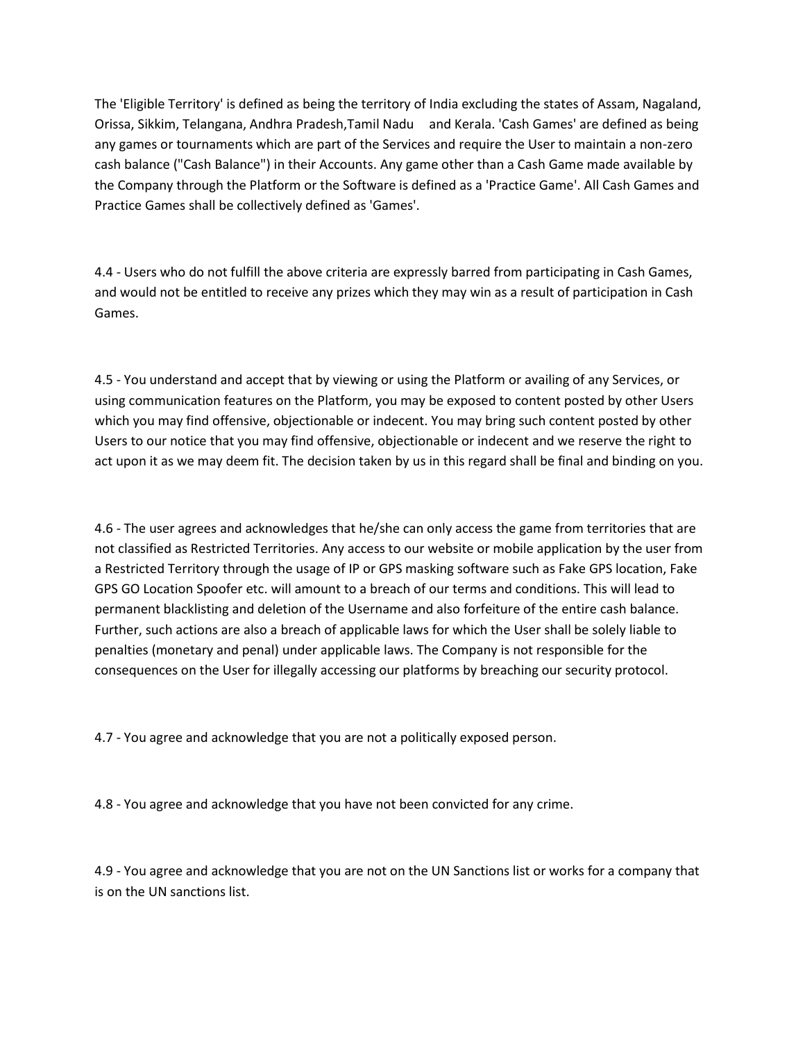The 'Eligible Territory' is defined as being the territory of India excluding the states of Assam, Nagaland, Orissa, Sikkim, Telangana, Andhra Pradesh,Tamil Nadu and Kerala. 'Cash Games' are defined as being any games or tournaments which are part of the Services and require the User to maintain a non-zero cash balance ("Cash Balance") in their Accounts. Any game other than a Cash Game made available by the Company through the Platform or the Software is defined as a 'Practice Game'. All Cash Games and Practice Games shall be collectively defined as 'Games'.

4.4 - Users who do not fulfill the above criteria are expressly barred from participating in Cash Games, and would not be entitled to receive any prizes which they may win as a result of participation in Cash Games.

4.5 - You understand and accept that by viewing or using the Platform or availing of any Services, or using communication features on the Platform, you may be exposed to content posted by other Users which you may find offensive, objectionable or indecent. You may bring such content posted by other Users to our notice that you may find offensive, objectionable or indecent and we reserve the right to act upon it as we may deem fit. The decision taken by us in this regard shall be final and binding on you.

4.6 - The user agrees and acknowledges that he/she can only access the game from territories that are not classified as Restricted Territories. Any access to our website or mobile application by the user from a Restricted Territory through the usage of IP or GPS masking software such as Fake GPS location, Fake GPS GO Location Spoofer etc. will amount to a breach of our terms and conditions. This will lead to permanent blacklisting and deletion of the Username and also forfeiture of the entire cash balance. Further, such actions are also a breach of applicable laws for which the User shall be solely liable to penalties (monetary and penal) under applicable laws. The Company is not responsible for the consequences on the User for illegally accessing our platforms by breaching our security protocol.

4.7 - You agree and acknowledge that you are not a politically exposed person.

4.8 - You agree and acknowledge that you have not been convicted for any crime.

4.9 - You agree and acknowledge that you are not on the UN Sanctions list or works for a company that is on the UN sanctions list.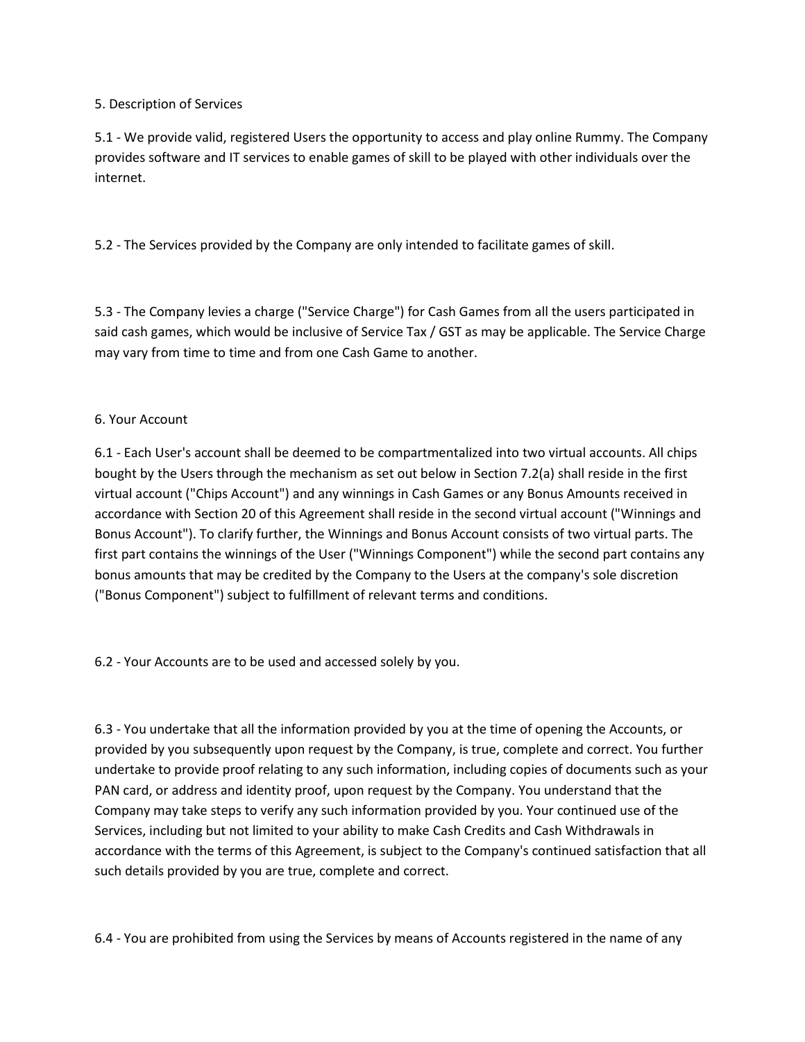## 5. Description of Services

5.1 - We provide valid, registered Users the opportunity to access and play online Rummy. The Company provides software and IT services to enable games of skill to be played with other individuals over the internet.

5.2 - The Services provided by the Company are only intended to facilitate games of skill.

5.3 - The Company levies a charge ("Service Charge") for Cash Games from all the users participated in said cash games, which would be inclusive of Service Tax / GST as may be applicable. The Service Charge may vary from time to time and from one Cash Game to another.

## 6. Your Account

6.1 - Each User's account shall be deemed to be compartmentalized into two virtual accounts. All chips bought by the Users through the mechanism as set out below in Section 7.2(a) shall reside in the first virtual account ("Chips Account") and any winnings in Cash Games or any Bonus Amounts received in accordance with Section 20 of this Agreement shall reside in the second virtual account ("Winnings and Bonus Account"). To clarify further, the Winnings and Bonus Account consists of two virtual parts. The first part contains the winnings of the User ("Winnings Component") while the second part contains any bonus amounts that may be credited by the Company to the Users at the company's sole discretion ("Bonus Component") subject to fulfillment of relevant terms and conditions.

6.2 - Your Accounts are to be used and accessed solely by you.

6.3 - You undertake that all the information provided by you at the time of opening the Accounts, or provided by you subsequently upon request by the Company, is true, complete and correct. You further undertake to provide proof relating to any such information, including copies of documents such as your PAN card, or address and identity proof, upon request by the Company. You understand that the Company may take steps to verify any such information provided by you. Your continued use of the Services, including but not limited to your ability to make Cash Credits and Cash Withdrawals in accordance with the terms of this Agreement, is subject to the Company's continued satisfaction that all such details provided by you are true, complete and correct.

6.4 - You are prohibited from using the Services by means of Accounts registered in the name of any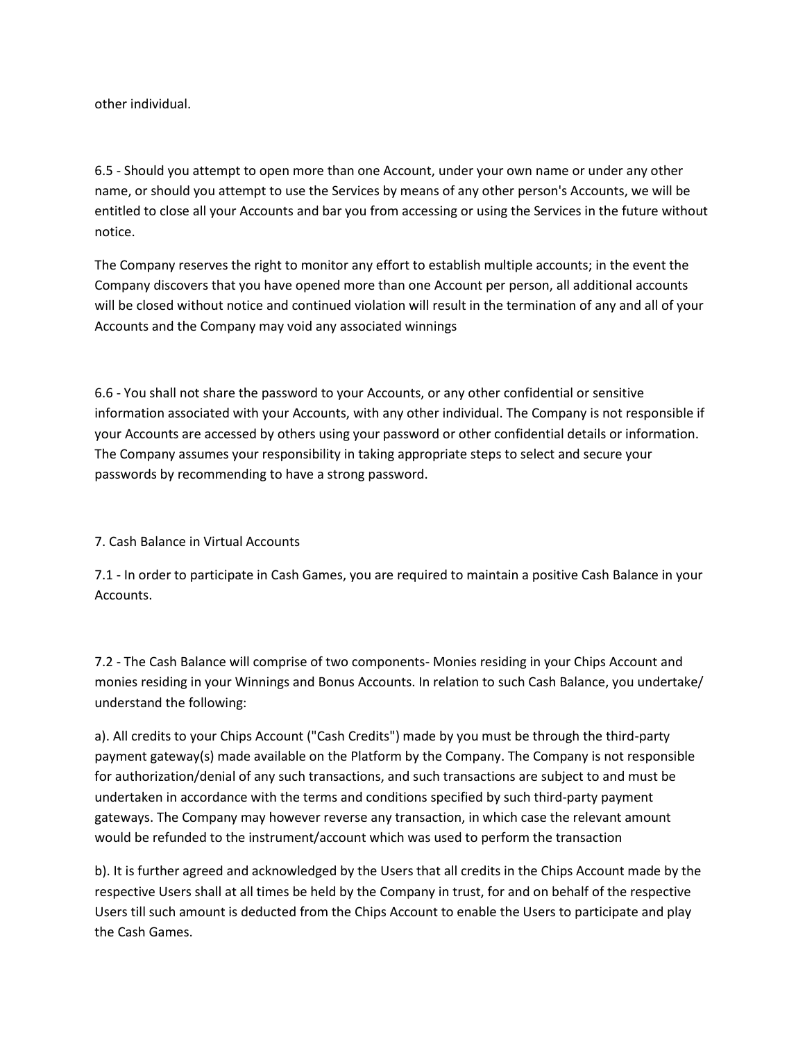other individual.

6.5 - Should you attempt to open more than one Account, under your own name or under any other name, or should you attempt to use the Services by means of any other person's Accounts, we will be entitled to close all your Accounts and bar you from accessing or using the Services in the future without notice.

The Company reserves the right to monitor any effort to establish multiple accounts; in the event the Company discovers that you have opened more than one Account per person, all additional accounts will be closed without notice and continued violation will result in the termination of any and all of your Accounts and the Company may void any associated winnings

6.6 - You shall not share the password to your Accounts, or any other confidential or sensitive information associated with your Accounts, with any other individual. The Company is not responsible if your Accounts are accessed by others using your password or other confidential details or information. The Company assumes your responsibility in taking appropriate steps to select and secure your passwords by recommending to have a strong password.

7. Cash Balance in Virtual Accounts

7.1 - In order to participate in Cash Games, you are required to maintain a positive Cash Balance in your Accounts.

7.2 - The Cash Balance will comprise of two components- Monies residing in your Chips Account and monies residing in your Winnings and Bonus Accounts. In relation to such Cash Balance, you undertake/ understand the following:

a). All credits to your Chips Account ("Cash Credits") made by you must be through the third-party payment gateway(s) made available on the Platform by the Company. The Company is not responsible for authorization/denial of any such transactions, and such transactions are subject to and must be undertaken in accordance with the terms and conditions specified by such third-party payment gateways. The Company may however reverse any transaction, in which case the relevant amount would be refunded to the instrument/account which was used to perform the transaction

b). It is further agreed and acknowledged by the Users that all credits in the Chips Account made by the respective Users shall at all times be held by the Company in trust, for and on behalf of the respective Users till such amount is deducted from the Chips Account to enable the Users to participate and play the Cash Games.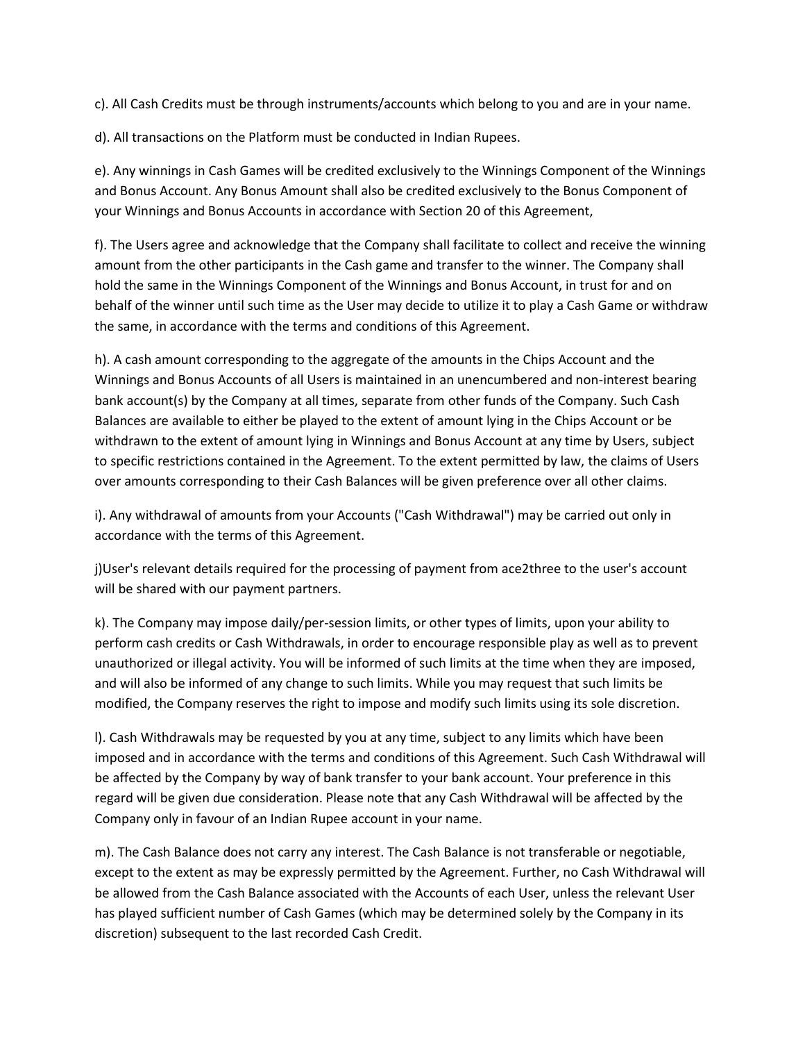c). All Cash Credits must be through instruments/accounts which belong to you and are in your name.

d). All transactions on the Platform must be conducted in Indian Rupees.

e). Any winnings in Cash Games will be credited exclusively to the Winnings Component of the Winnings and Bonus Account. Any Bonus Amount shall also be credited exclusively to the Bonus Component of your Winnings and Bonus Accounts in accordance with Section 20 of this Agreement,

f). The Users agree and acknowledge that the Company shall facilitate to collect and receive the winning amount from the other participants in the Cash game and transfer to the winner. The Company shall hold the same in the Winnings Component of the Winnings and Bonus Account, in trust for and on behalf of the winner until such time as the User may decide to utilize it to play a Cash Game or withdraw the same, in accordance with the terms and conditions of this Agreement.

h). A cash amount corresponding to the aggregate of the amounts in the Chips Account and the Winnings and Bonus Accounts of all Users is maintained in an unencumbered and non-interest bearing bank account(s) by the Company at all times, separate from other funds of the Company. Such Cash Balances are available to either be played to the extent of amount lying in the Chips Account or be withdrawn to the extent of amount lying in Winnings and Bonus Account at any time by Users, subject to specific restrictions contained in the Agreement. To the extent permitted by law, the claims of Users over amounts corresponding to their Cash Balances will be given preference over all other claims.

i). Any withdrawal of amounts from your Accounts ("Cash Withdrawal") may be carried out only in accordance with the terms of this Agreement.

j)User's relevant details required for the processing of payment from ace2three to the user's account will be shared with our payment partners.

k). The Company may impose daily/per-session limits, or other types of limits, upon your ability to perform cash credits or Cash Withdrawals, in order to encourage responsible play as well as to prevent unauthorized or illegal activity. You will be informed of such limits at the time when they are imposed, and will also be informed of any change to such limits. While you may request that such limits be modified, the Company reserves the right to impose and modify such limits using its sole discretion.

l). Cash Withdrawals may be requested by you at any time, subject to any limits which have been imposed and in accordance with the terms and conditions of this Agreement. Such Cash Withdrawal will be affected by the Company by way of bank transfer to your bank account. Your preference in this regard will be given due consideration. Please note that any Cash Withdrawal will be affected by the Company only in favour of an Indian Rupee account in your name.

m). The Cash Balance does not carry any interest. The Cash Balance is not transferable or negotiable, except to the extent as may be expressly permitted by the Agreement. Further, no Cash Withdrawal will be allowed from the Cash Balance associated with the Accounts of each User, unless the relevant User has played sufficient number of Cash Games (which may be determined solely by the Company in its discretion) subsequent to the last recorded Cash Credit.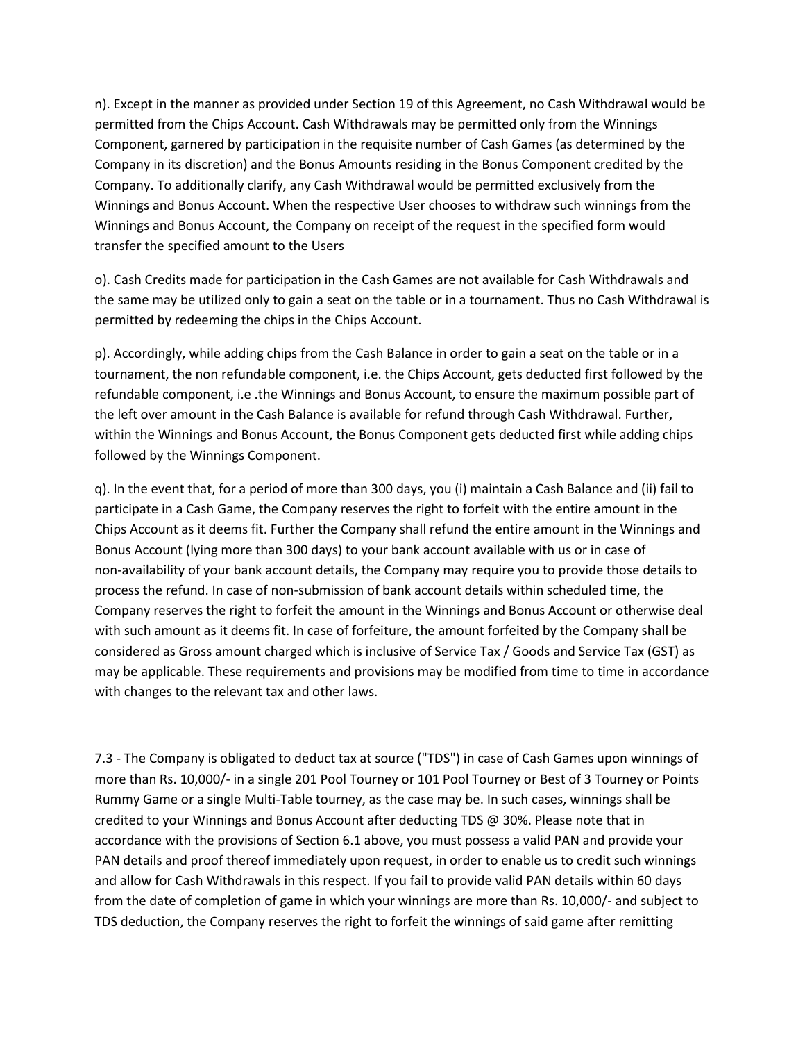n). Except in the manner as provided under Section 19 of this Agreement, no Cash Withdrawal would be permitted from the Chips Account. Cash Withdrawals may be permitted only from the Winnings Component, garnered by participation in the requisite number of Cash Games (as determined by the Company in its discretion) and the Bonus Amounts residing in the Bonus Component credited by the Company. To additionally clarify, any Cash Withdrawal would be permitted exclusively from the Winnings and Bonus Account. When the respective User chooses to withdraw such winnings from the Winnings and Bonus Account, the Company on receipt of the request in the specified form would transfer the specified amount to the Users

o). Cash Credits made for participation in the Cash Games are not available for Cash Withdrawals and the same may be utilized only to gain a seat on the table or in a tournament. Thus no Cash Withdrawal is permitted by redeeming the chips in the Chips Account.

p). Accordingly, while adding chips from the Cash Balance in order to gain a seat on the table or in a tournament, the non refundable component, i.e. the Chips Account, gets deducted first followed by the refundable component, i.e .the Winnings and Bonus Account, to ensure the maximum possible part of the left over amount in the Cash Balance is available for refund through Cash Withdrawal. Further, within the Winnings and Bonus Account, the Bonus Component gets deducted first while adding chips followed by the Winnings Component.

q). In the event that, for a period of more than 300 days, you (i) maintain a Cash Balance and (ii) fail to participate in a Cash Game, the Company reserves the right to forfeit with the entire amount in the Chips Account as it deems fit. Further the Company shall refund the entire amount in the Winnings and Bonus Account (lying more than 300 days) to your bank account available with us or in case of non-availability of your bank account details, the Company may require you to provide those details to process the refund. In case of non-submission of bank account details within scheduled time, the Company reserves the right to forfeit the amount in the Winnings and Bonus Account or otherwise deal with such amount as it deems fit. In case of forfeiture, the amount forfeited by the Company shall be considered as Gross amount charged which is inclusive of Service Tax / Goods and Service Tax (GST) as may be applicable. These requirements and provisions may be modified from time to time in accordance with changes to the relevant tax and other laws.

7.3 - The Company is obligated to deduct tax at source ("TDS") in case of Cash Games upon winnings of more than Rs. 10,000/- in a single 201 Pool Tourney or 101 Pool Tourney or Best of 3 Tourney or Points Rummy Game or a single Multi-Table tourney, as the case may be. In such cases, winnings shall be credited to your Winnings and Bonus Account after deducting TDS @ 30%. Please note that in accordance with the provisions of Section 6.1 above, you must possess a valid PAN and provide your PAN details and proof thereof immediately upon request, in order to enable us to credit such winnings and allow for Cash Withdrawals in this respect. If you fail to provide valid PAN details within 60 days from the date of completion of game in which your winnings are more than Rs. 10,000/- and subject to TDS deduction, the Company reserves the right to forfeit the winnings of said game after remitting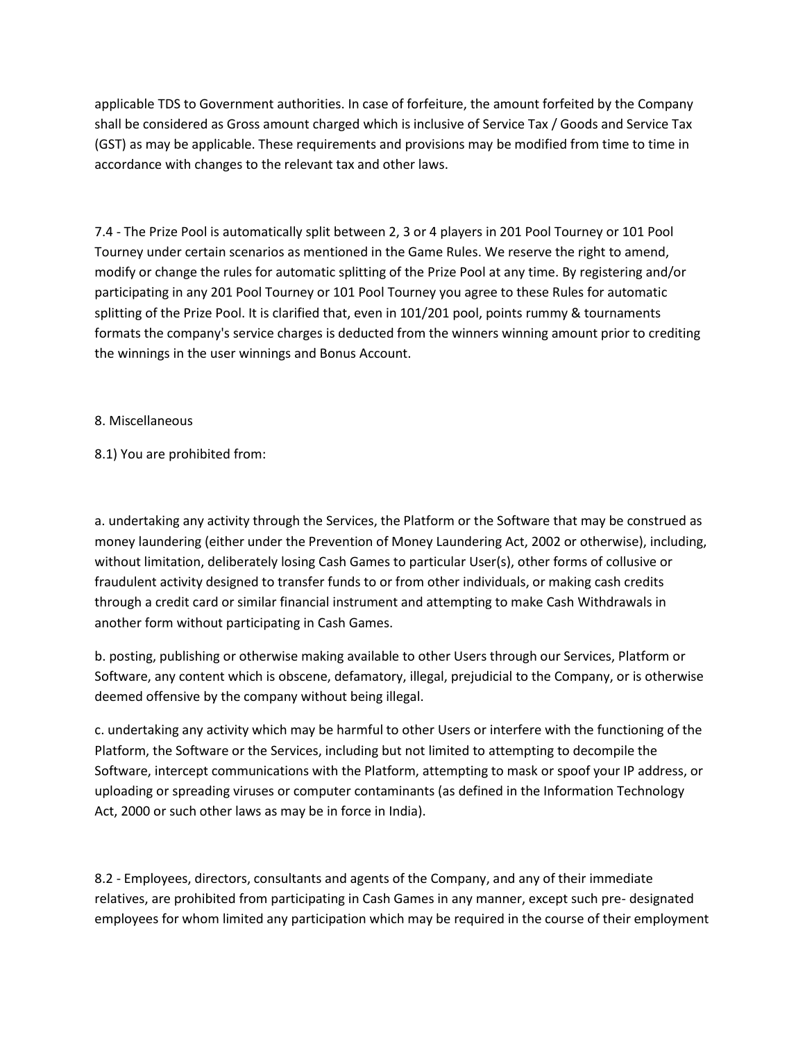applicable TDS to Government authorities. In case of forfeiture, the amount forfeited by the Company shall be considered as Gross amount charged which is inclusive of Service Tax / Goods and Service Tax (GST) as may be applicable. These requirements and provisions may be modified from time to time in accordance with changes to the relevant tax and other laws.

7.4 - The Prize Pool is automatically split between 2, 3 or 4 players in 201 Pool Tourney or 101 Pool Tourney under certain scenarios as mentioned in the Game Rules. We reserve the right to amend, modify or change the rules for automatic splitting of the Prize Pool at any time. By registering and/or participating in any 201 Pool Tourney or 101 Pool Tourney you agree to these Rules for automatic splitting of the Prize Pool. It is clarified that, even in 101/201 pool, points rummy & tournaments formats the company's service charges is deducted from the winners winning amount prior to crediting the winnings in the user winnings and Bonus Account.

### 8. Miscellaneous

8.1) You are prohibited from:

a. undertaking any activity through the Services, the Platform or the Software that may be construed as money laundering (either under the Prevention of Money Laundering Act, 2002 or otherwise), including, without limitation, deliberately losing Cash Games to particular User(s), other forms of collusive or fraudulent activity designed to transfer funds to or from other individuals, or making cash credits through a credit card or similar financial instrument and attempting to make Cash Withdrawals in another form without participating in Cash Games.

b. posting, publishing or otherwise making available to other Users through our Services, Platform or Software, any content which is obscene, defamatory, illegal, prejudicial to the Company, or is otherwise deemed offensive by the company without being illegal.

c. undertaking any activity which may be harmful to other Users or interfere with the functioning of the Platform, the Software or the Services, including but not limited to attempting to decompile the Software, intercept communications with the Platform, attempting to mask or spoof your IP address, or uploading or spreading viruses or computer contaminants (as defined in the Information Technology Act, 2000 or such other laws as may be in force in India).

8.2 - Employees, directors, consultants and agents of the Company, and any of their immediate relatives, are prohibited from participating in Cash Games in any manner, except such pre- designated employees for whom limited any participation which may be required in the course of their employment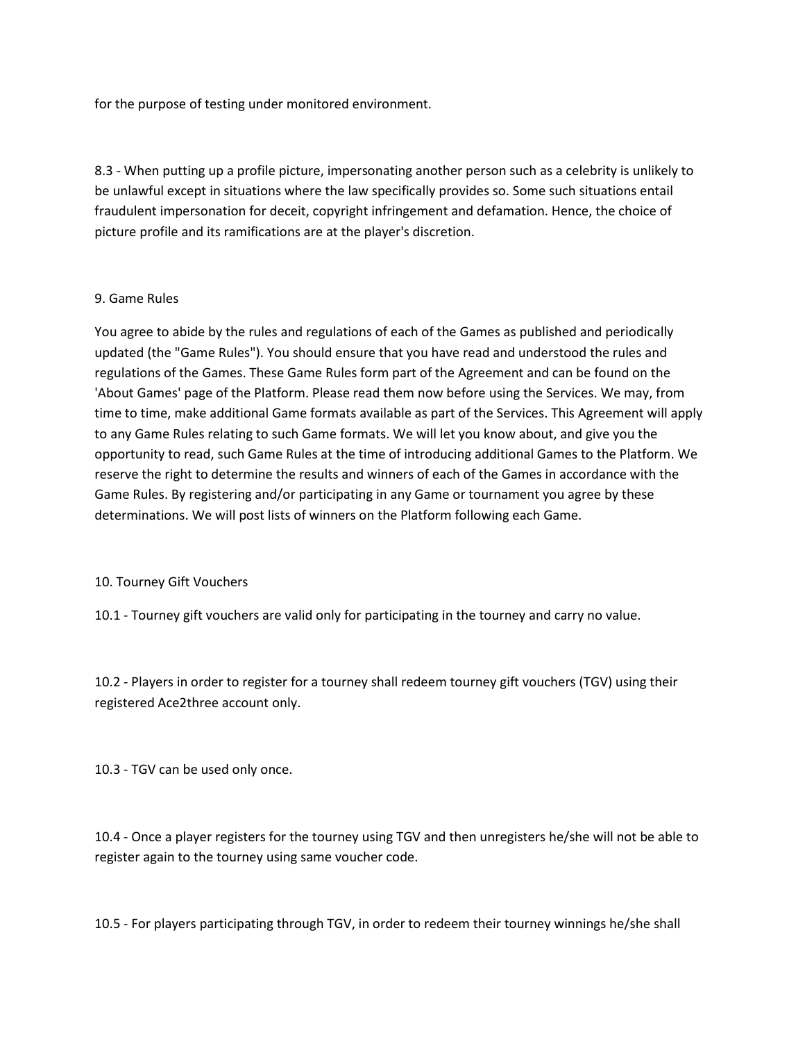for the purpose of testing under monitored environment.

8.3 - When putting up a profile picture, impersonating another person such as a celebrity is unlikely to be unlawful except in situations where the law specifically provides so. Some such situations entail fraudulent impersonation for deceit, copyright infringement and defamation. Hence, the choice of picture profile and its ramifications are at the player's discretion.

#### 9. Game Rules

You agree to abide by the rules and regulations of each of the Games as published and periodically updated (the "Game Rules"). You should ensure that you have read and understood the rules and regulations of the Games. These Game Rules form part of the Agreement and can be found on the 'About Games' page of the Platform. Please read them now before using the Services. We may, from time to time, make additional Game formats available as part of the Services. This Agreement will apply to any Game Rules relating to such Game formats. We will let you know about, and give you the opportunity to read, such Game Rules at the time of introducing additional Games to the Platform. We reserve the right to determine the results and winners of each of the Games in accordance with the Game Rules. By registering and/or participating in any Game or tournament you agree by these determinations. We will post lists of winners on the Platform following each Game.

## 10. Tourney Gift Vouchers

10.1 - Tourney gift vouchers are valid only for participating in the tourney and carry no value.

10.2 - Players in order to register for a tourney shall redeem tourney gift vouchers (TGV) using their registered Ace2three account only.

10.3 - TGV can be used only once.

10.4 - Once a player registers for the tourney using TGV and then unregisters he/she will not be able to register again to the tourney using same voucher code.

10.5 - For players participating through TGV, in order to redeem their tourney winnings he/she shall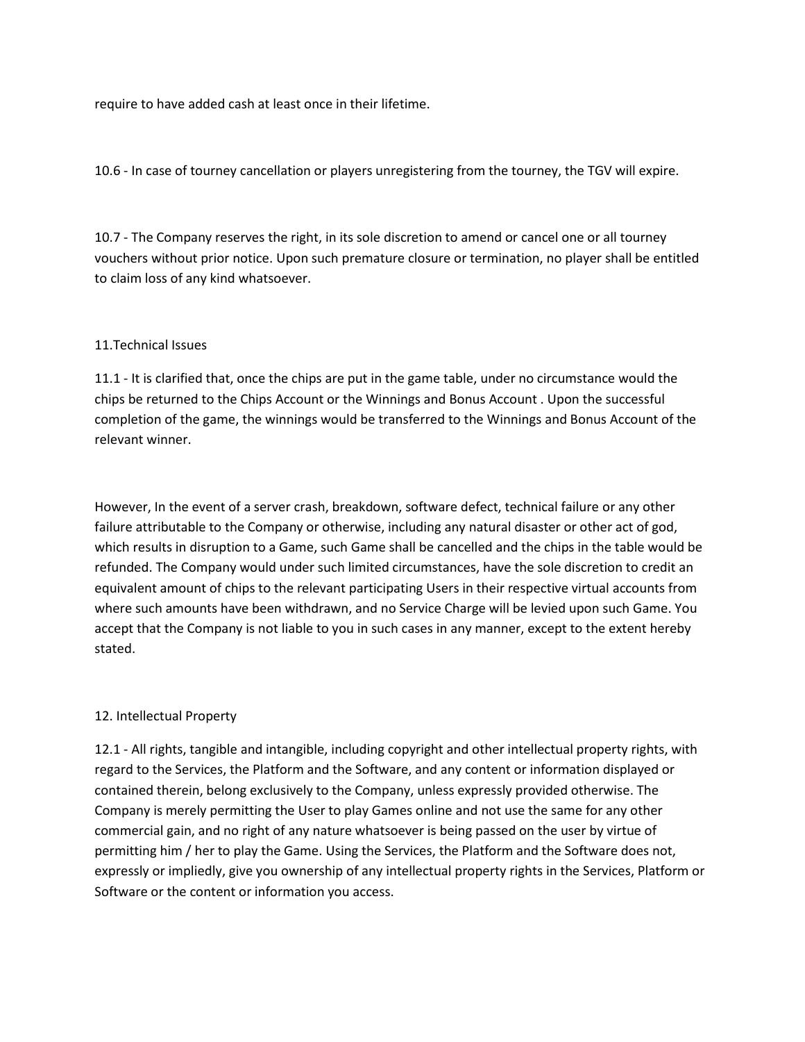require to have added cash at least once in their lifetime.

10.6 - In case of tourney cancellation or players unregistering from the tourney, the TGV will expire.

10.7 - The Company reserves the right, in its sole discretion to amend or cancel one or all tourney vouchers without prior notice. Upon such premature closure or termination, no player shall be entitled to claim loss of any kind whatsoever.

### 11.Technical Issues

11.1 - It is clarified that, once the chips are put in the game table, under no circumstance would the chips be returned to the Chips Account or the Winnings and Bonus Account . Upon the successful completion of the game, the winnings would be transferred to the Winnings and Bonus Account of the relevant winner.

However, In the event of a server crash, breakdown, software defect, technical failure or any other failure attributable to the Company or otherwise, including any natural disaster or other act of god, which results in disruption to a Game, such Game shall be cancelled and the chips in the table would be refunded. The Company would under such limited circumstances, have the sole discretion to credit an equivalent amount of chips to the relevant participating Users in their respective virtual accounts from where such amounts have been withdrawn, and no Service Charge will be levied upon such Game. You accept that the Company is not liable to you in such cases in any manner, except to the extent hereby stated.

## 12. Intellectual Property

12.1 - All rights, tangible and intangible, including copyright and other intellectual property rights, with regard to the Services, the Platform and the Software, and any content or information displayed or contained therein, belong exclusively to the Company, unless expressly provided otherwise. The Company is merely permitting the User to play Games online and not use the same for any other commercial gain, and no right of any nature whatsoever is being passed on the user by virtue of permitting him / her to play the Game. Using the Services, the Platform and the Software does not, expressly or impliedly, give you ownership of any intellectual property rights in the Services, Platform or Software or the content or information you access.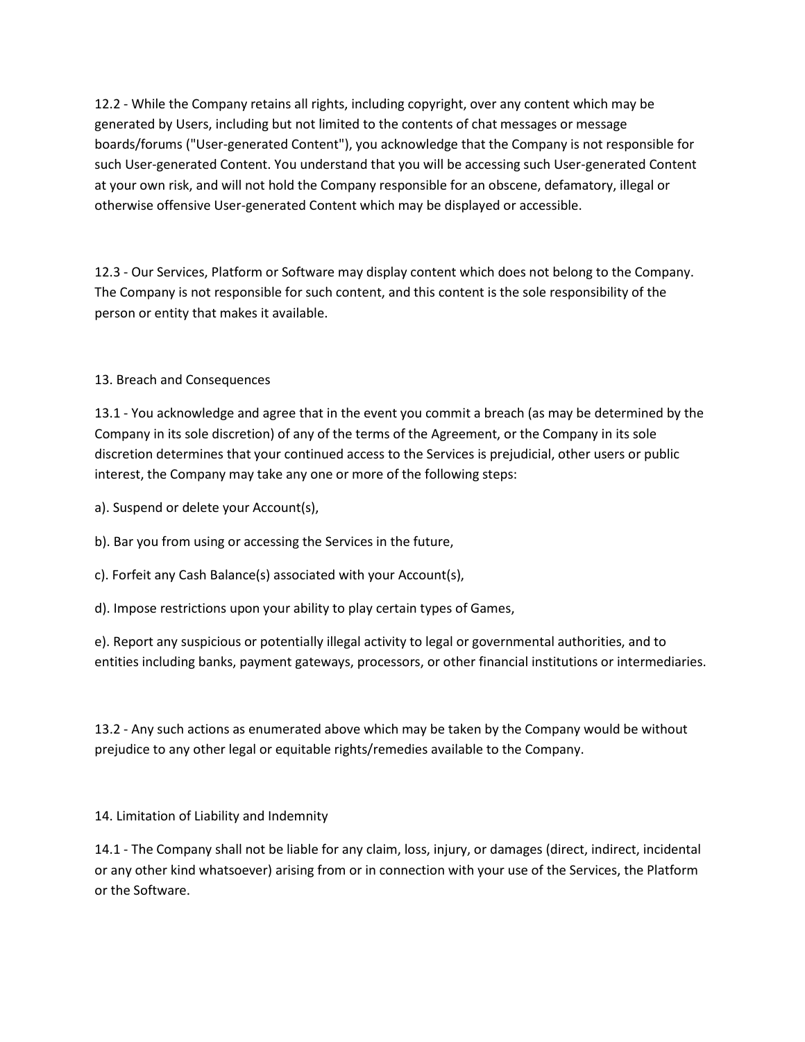12.2 - While the Company retains all rights, including copyright, over any content which may be generated by Users, including but not limited to the contents of chat messages or message boards/forums ("User-generated Content"), you acknowledge that the Company is not responsible for such User-generated Content. You understand that you will be accessing such User-generated Content at your own risk, and will not hold the Company responsible for an obscene, defamatory, illegal or otherwise offensive User-generated Content which may be displayed or accessible.

12.3 - Our Services, Platform or Software may display content which does not belong to the Company. The Company is not responsible for such content, and this content is the sole responsibility of the person or entity that makes it available.

13. Breach and Consequences

13.1 - You acknowledge and agree that in the event you commit a breach (as may be determined by the Company in its sole discretion) of any of the terms of the Agreement, or the Company in its sole discretion determines that your continued access to the Services is prejudicial, other users or public interest, the Company may take any one or more of the following steps:

a). Suspend or delete your Account(s),

b). Bar you from using or accessing the Services in the future,

c). Forfeit any Cash Balance(s) associated with your Account(s),

d). Impose restrictions upon your ability to play certain types of Games,

e). Report any suspicious or potentially illegal activity to legal or governmental authorities, and to entities including banks, payment gateways, processors, or other financial institutions or intermediaries.

13.2 - Any such actions as enumerated above which may be taken by the Company would be without prejudice to any other legal or equitable rights/remedies available to the Company.

14. Limitation of Liability and Indemnity

14.1 - The Company shall not be liable for any claim, loss, injury, or damages (direct, indirect, incidental or any other kind whatsoever) arising from or in connection with your use of the Services, the Platform or the Software.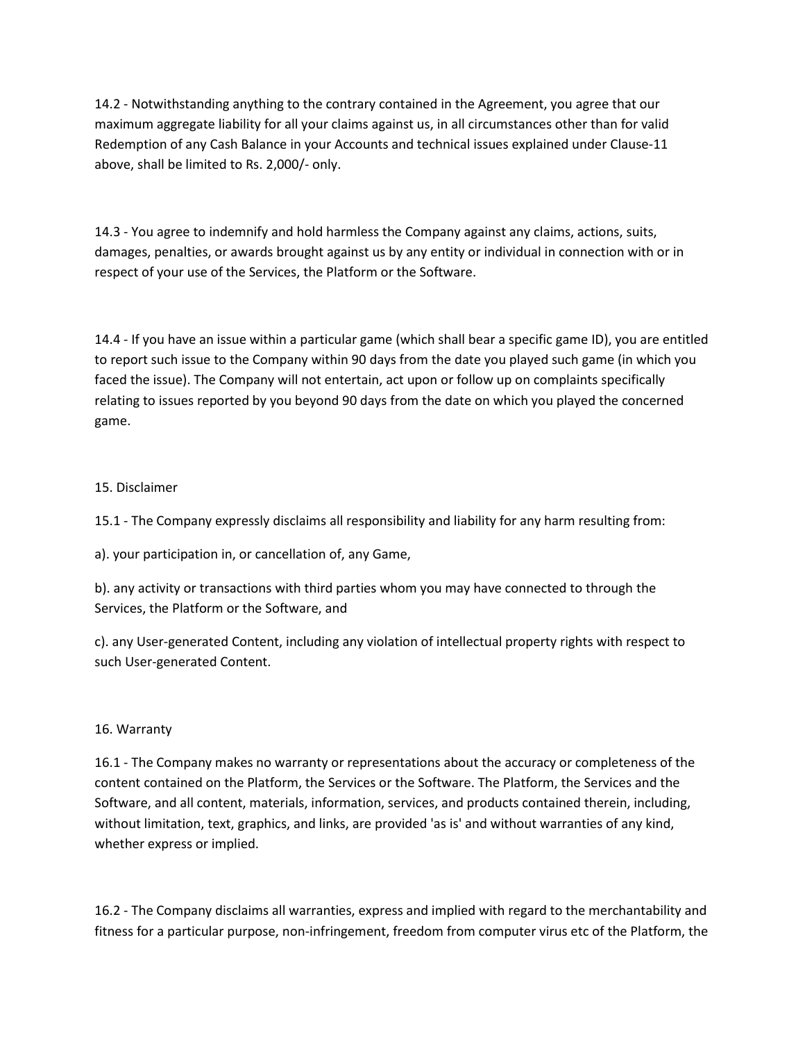14.2 - Notwithstanding anything to the contrary contained in the Agreement, you agree that our maximum aggregate liability for all your claims against us, in all circumstances other than for valid Redemption of any Cash Balance in your Accounts and technical issues explained under Clause-11 above, shall be limited to Rs. 2,000/- only.

14.3 - You agree to indemnify and hold harmless the Company against any claims, actions, suits, damages, penalties, or awards brought against us by any entity or individual in connection with or in respect of your use of the Services, the Platform or the Software.

14.4 - If you have an issue within a particular game (which shall bear a specific game ID), you are entitled to report such issue to the Company within 90 days from the date you played such game (in which you faced the issue). The Company will not entertain, act upon or follow up on complaints specifically relating to issues reported by you beyond 90 days from the date on which you played the concerned game.

# 15. Disclaimer

15.1 - The Company expressly disclaims all responsibility and liability for any harm resulting from:

a). your participation in, or cancellation of, any Game,

b). any activity or transactions with third parties whom you may have connected to through the Services, the Platform or the Software, and

c). any User-generated Content, including any violation of intellectual property rights with respect to such User-generated Content.

## 16. Warranty

16.1 - The Company makes no warranty or representations about the accuracy or completeness of the content contained on the Platform, the Services or the Software. The Platform, the Services and the Software, and all content, materials, information, services, and products contained therein, including, without limitation, text, graphics, and links, are provided 'as is' and without warranties of any kind, whether express or implied.

16.2 - The Company disclaims all warranties, express and implied with regard to the merchantability and fitness for a particular purpose, non-infringement, freedom from computer virus etc of the Platform, the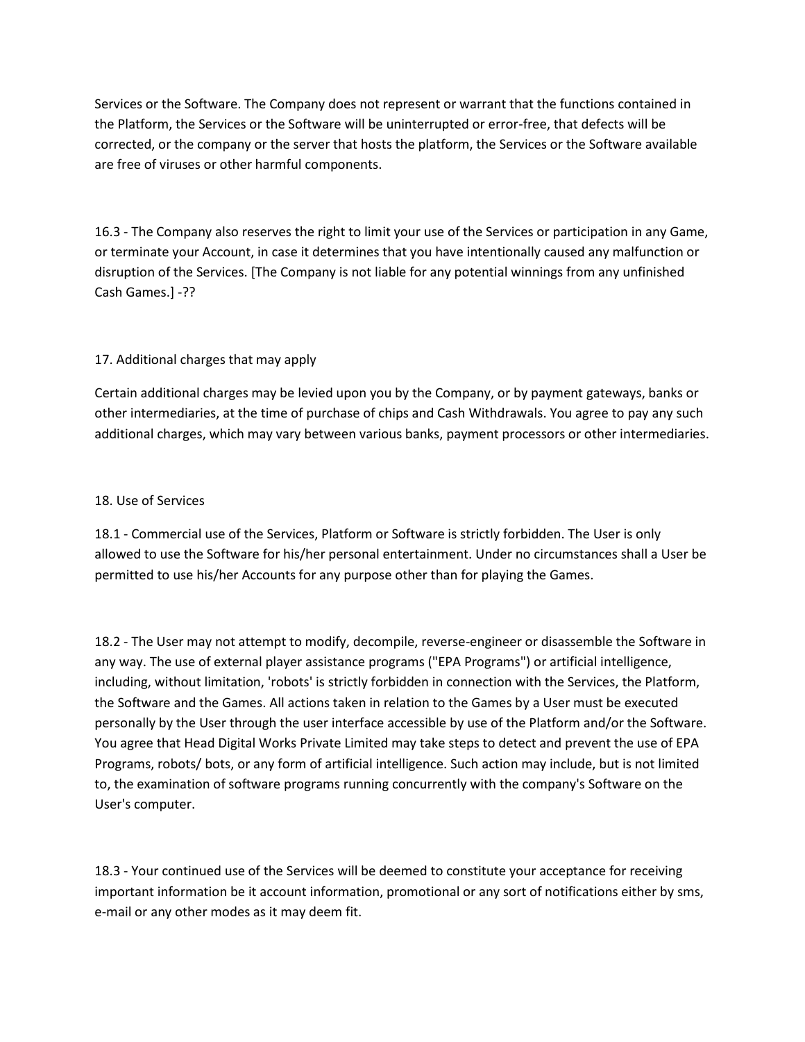Services or the Software. The Company does not represent or warrant that the functions contained in the Platform, the Services or the Software will be uninterrupted or error-free, that defects will be corrected, or the company or the server that hosts the platform, the Services or the Software available are free of viruses or other harmful components.

16.3 - The Company also reserves the right to limit your use of the Services or participation in any Game, or terminate your Account, in case it determines that you have intentionally caused any malfunction or disruption of the Services. [The Company is not liable for any potential winnings from any unfinished Cash Games.] -??

# 17. Additional charges that may apply

Certain additional charges may be levied upon you by the Company, or by payment gateways, banks or other intermediaries, at the time of purchase of chips and Cash Withdrawals. You agree to pay any such additional charges, which may vary between various banks, payment processors or other intermediaries.

### 18. Use of Services

18.1 - Commercial use of the Services, Platform or Software is strictly forbidden. The User is only allowed to use the Software for his/her personal entertainment. Under no circumstances shall a User be permitted to use his/her Accounts for any purpose other than for playing the Games.

18.2 - The User may not attempt to modify, decompile, reverse-engineer or disassemble the Software in any way. The use of external player assistance programs ("EPA Programs") or artificial intelligence, including, without limitation, 'robots' is strictly forbidden in connection with the Services, the Platform, the Software and the Games. All actions taken in relation to the Games by a User must be executed personally by the User through the user interface accessible by use of the Platform and/or the Software. You agree that Head Digital Works Private Limited may take steps to detect and prevent the use of EPA Programs, robots/ bots, or any form of artificial intelligence. Such action may include, but is not limited to, the examination of software programs running concurrently with the company's Software on the User's computer.

18.3 - Your continued use of the Services will be deemed to constitute your acceptance for receiving important information be it account information, promotional or any sort of notifications either by sms, e-mail or any other modes as it may deem fit.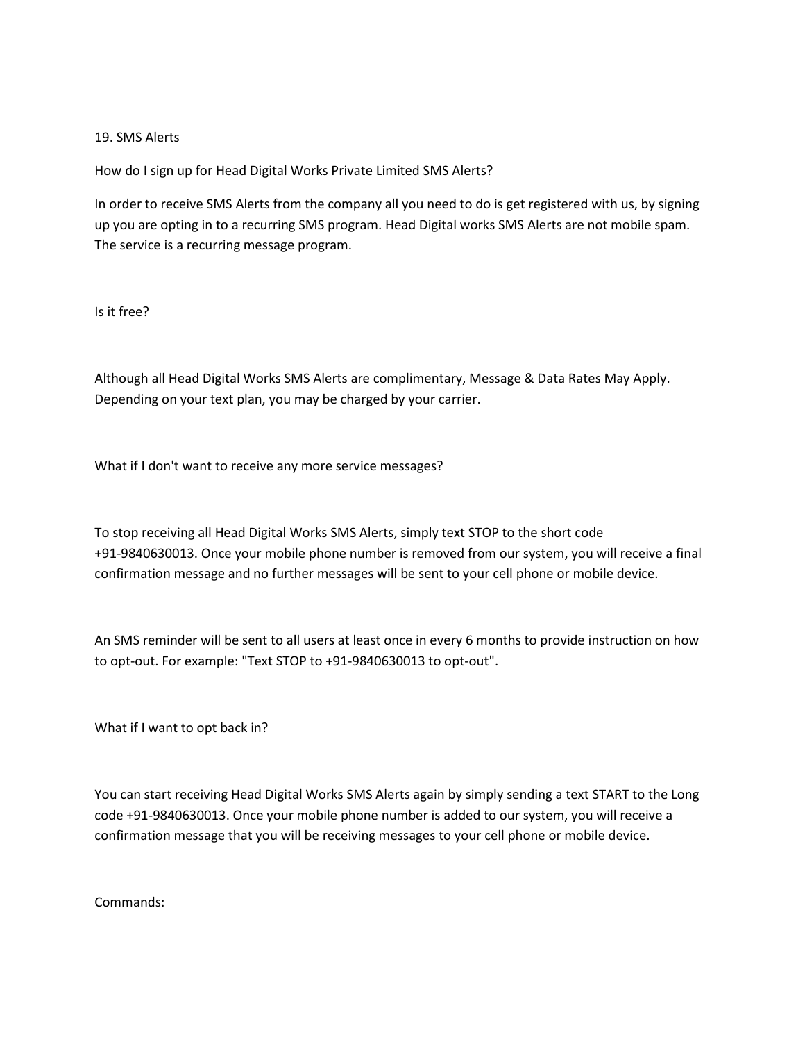### 19. SMS Alerts

How do I sign up for Head Digital Works Private Limited SMS Alerts?

In order to receive SMS Alerts from the company all you need to do is get registered with us, by signing up you are opting in to a recurring SMS program. Head Digital works SMS Alerts are not mobile spam. The service is a recurring message program.

Is it free?

Although all Head Digital Works SMS Alerts are complimentary, Message & Data Rates May Apply. Depending on your text plan, you may be charged by your carrier.

What if I don't want to receive any more service messages?

To stop receiving all Head Digital Works SMS Alerts, simply text STOP to the short code +91-9840630013. Once your mobile phone number is removed from our system, you will receive a final confirmation message and no further messages will be sent to your cell phone or mobile device.

An SMS reminder will be sent to all users at least once in every 6 months to provide instruction on how to opt-out. For example: "Text STOP to +91-9840630013 to opt-out".

What if I want to opt back in?

You can start receiving Head Digital Works SMS Alerts again by simply sending a text START to the Long code +91-9840630013. Once your mobile phone number is added to our system, you will receive a confirmation message that you will be receiving messages to your cell phone or mobile device.

Commands: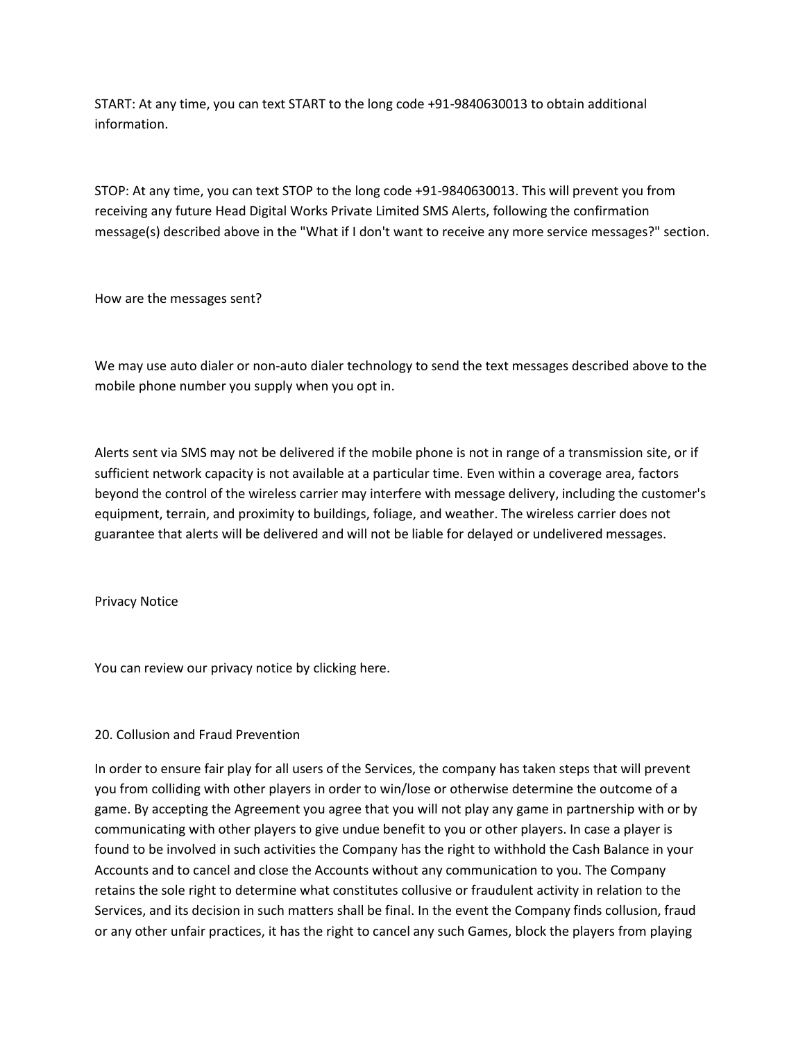START: At any time, you can text START to the long code +91-9840630013 to obtain additional information.

STOP: At any time, you can text STOP to the long code +91-9840630013. This will prevent you from receiving any future Head Digital Works Private Limited SMS Alerts, following the confirmation message(s) described above in the "What if I don't want to receive any more service messages?" section.

How are the messages sent?

We may use auto dialer or non-auto dialer technology to send the text messages described above to the mobile phone number you supply when you opt in.

Alerts sent via SMS may not be delivered if the mobile phone is not in range of a transmission site, or if sufficient network capacity is not available at a particular time. Even within a coverage area, factors beyond the control of the wireless carrier may interfere with message delivery, including the customer's equipment, terrain, and proximity to buildings, foliage, and weather. The wireless carrier does not guarantee that alerts will be delivered and will not be liable for delayed or undelivered messages.

Privacy Notice

You can review our privacy notice by clicking here.

## 20. Collusion and Fraud Prevention

In order to ensure fair play for all users of the Services, the company has taken steps that will prevent you from colliding with other players in order to win/lose or otherwise determine the outcome of a game. By accepting the Agreement you agree that you will not play any game in partnership with or by communicating with other players to give undue benefit to you or other players. In case a player is found to be involved in such activities the Company has the right to withhold the Cash Balance in your Accounts and to cancel and close the Accounts without any communication to you. The Company retains the sole right to determine what constitutes collusive or fraudulent activity in relation to the Services, and its decision in such matters shall be final. In the event the Company finds collusion, fraud or any other unfair practices, it has the right to cancel any such Games, block the players from playing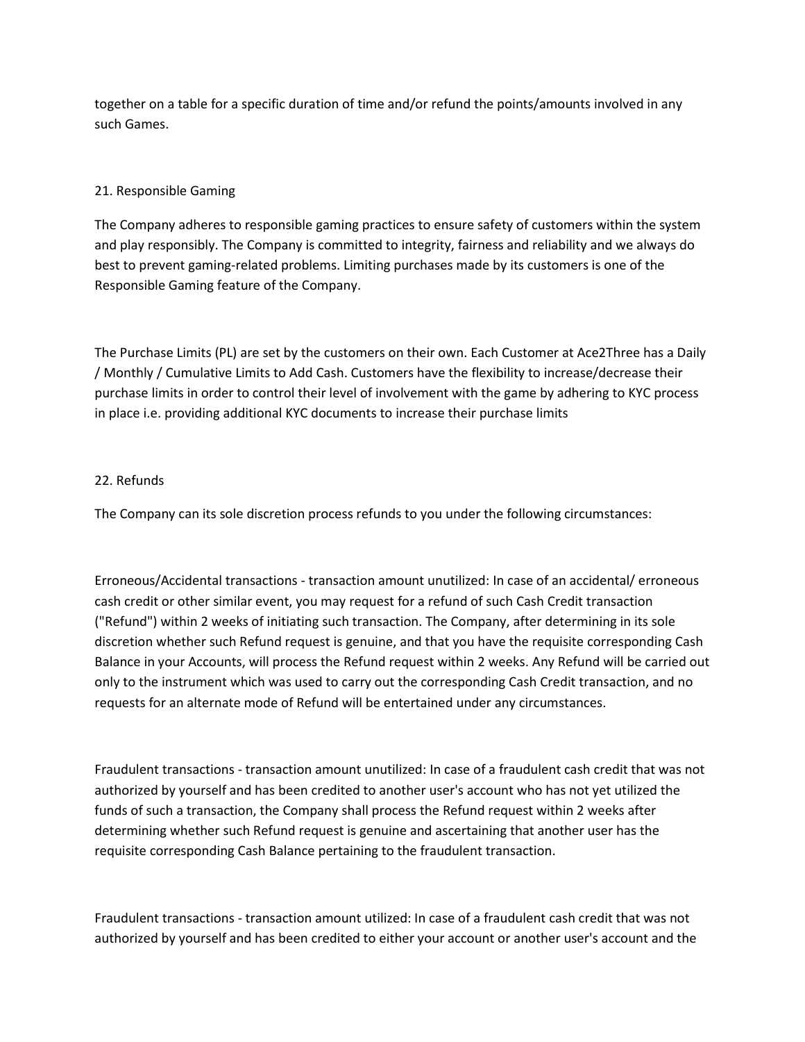together on a table for a specific duration of time and/or refund the points/amounts involved in any such Games.

# 21. Responsible Gaming

The Company adheres to responsible gaming practices to ensure safety of customers within the system and play responsibly. The Company is committed to integrity, fairness and reliability and we always do best to prevent gaming-related problems. Limiting purchases made by its customers is one of the Responsible Gaming feature of the Company.

The Purchase Limits (PL) are set by the customers on their own. Each Customer at Ace2Three has a Daily / Monthly / Cumulative Limits to Add Cash. Customers have the flexibility to increase/decrease their purchase limits in order to control their level of involvement with the game by adhering to KYC process in place i.e. providing additional KYC documents to increase their purchase limits

# 22. Refunds

The Company can its sole discretion process refunds to you under the following circumstances:

Erroneous/Accidental transactions - transaction amount unutilized: In case of an accidental/ erroneous cash credit or other similar event, you may request for a refund of such Cash Credit transaction ("Refund") within 2 weeks of initiating such transaction. The Company, after determining in its sole discretion whether such Refund request is genuine, and that you have the requisite corresponding Cash Balance in your Accounts, will process the Refund request within 2 weeks. Any Refund will be carried out only to the instrument which was used to carry out the corresponding Cash Credit transaction, and no requests for an alternate mode of Refund will be entertained under any circumstances.

Fraudulent transactions - transaction amount unutilized: In case of a fraudulent cash credit that was not authorized by yourself and has been credited to another user's account who has not yet utilized the funds of such a transaction, the Company shall process the Refund request within 2 weeks after determining whether such Refund request is genuine and ascertaining that another user has the requisite corresponding Cash Balance pertaining to the fraudulent transaction.

Fraudulent transactions - transaction amount utilized: In case of a fraudulent cash credit that was not authorized by yourself and has been credited to either your account or another user's account and the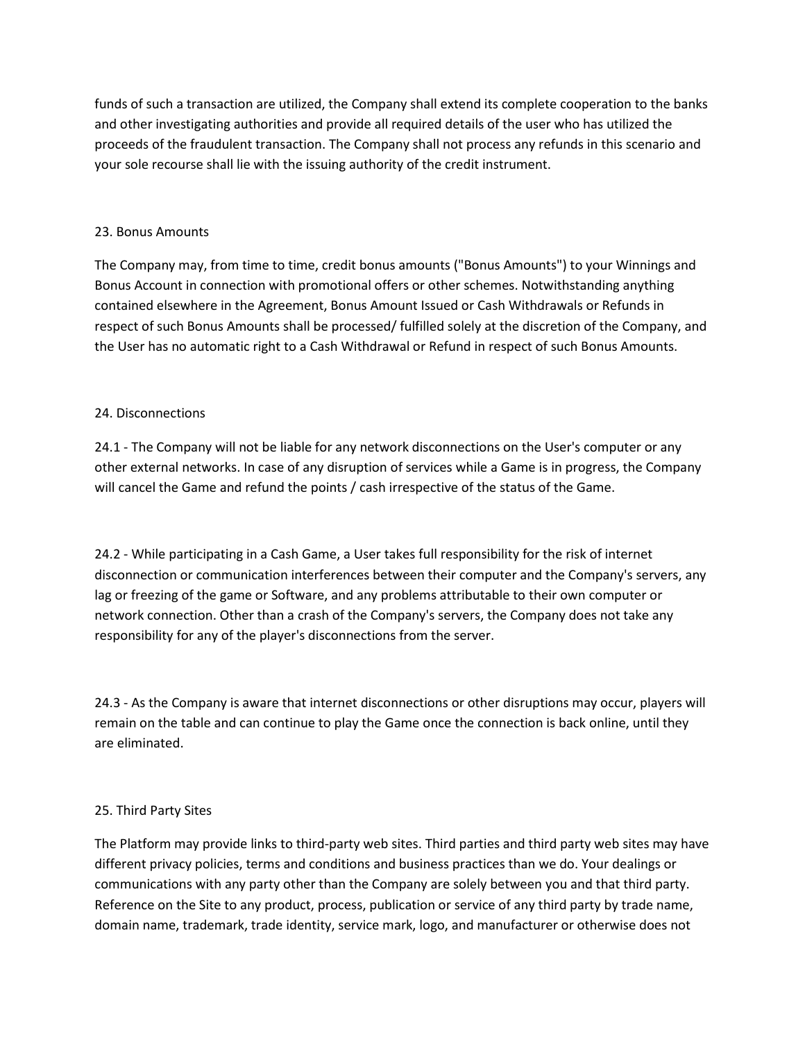funds of such a transaction are utilized, the Company shall extend its complete cooperation to the banks and other investigating authorities and provide all required details of the user who has utilized the proceeds of the fraudulent transaction. The Company shall not process any refunds in this scenario and your sole recourse shall lie with the issuing authority of the credit instrument.

## 23. Bonus Amounts

The Company may, from time to time, credit bonus amounts ("Bonus Amounts") to your Winnings and Bonus Account in connection with promotional offers or other schemes. Notwithstanding anything contained elsewhere in the Agreement, Bonus Amount Issued or Cash Withdrawals or Refunds in respect of such Bonus Amounts shall be processed/ fulfilled solely at the discretion of the Company, and the User has no automatic right to a Cash Withdrawal or Refund in respect of such Bonus Amounts.

# 24. Disconnections

24.1 - The Company will not be liable for any network disconnections on the User's computer or any other external networks. In case of any disruption of services while a Game is in progress, the Company will cancel the Game and refund the points / cash irrespective of the status of the Game.

24.2 - While participating in a Cash Game, a User takes full responsibility for the risk of internet disconnection or communication interferences between their computer and the Company's servers, any lag or freezing of the game or Software, and any problems attributable to their own computer or network connection. Other than a crash of the Company's servers, the Company does not take any responsibility for any of the player's disconnections from the server.

24.3 - As the Company is aware that internet disconnections or other disruptions may occur, players will remain on the table and can continue to play the Game once the connection is back online, until they are eliminated.

## 25. Third Party Sites

The Platform may provide links to third-party web sites. Third parties and third party web sites may have different privacy policies, terms and conditions and business practices than we do. Your dealings or communications with any party other than the Company are solely between you and that third party. Reference on the Site to any product, process, publication or service of any third party by trade name, domain name, trademark, trade identity, service mark, logo, and manufacturer or otherwise does not